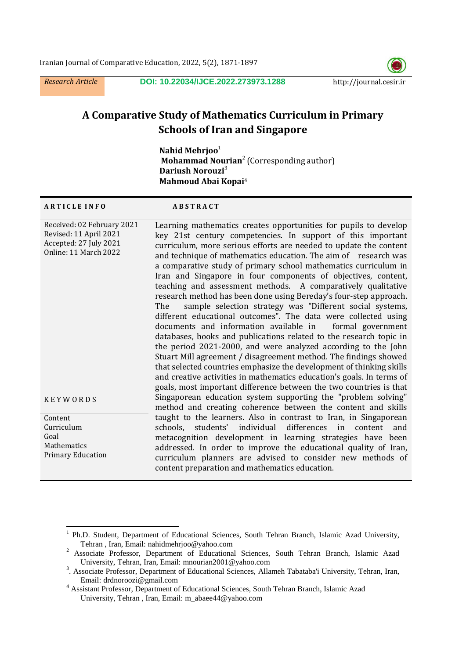*Research Article* **DOI: [10.22034/IJCE.2022.273973.1288](https://dx.doi.org/10.22034/ijce.2022.273973.1288)** http://journal.cesir.ir



# **A Comparative Study of Mathematics Curriculum in Primary Schools of Iran and Singapore**

**Nahid Mehrjoo**<sup>1</sup> **Mohammad Nourian<sup>2</sup> (Corresponding author) Dariush Norouzi**<sup>3</sup>  **Mahmoud Abai Kopai** 4

#### **A R T I C L E I N F O A B S T R A C T**

| Received: 02 February 2021<br>Revised: 11 April 2021<br>Accepted: 27 July 2021<br>Online: 11 March 2022 | Learning mathematics creates opportunities for pupils to develop<br>key 21st century competencies. In support of this important<br>curriculum, more serious efforts are needed to update the content<br>and technique of mathematics education. The aim of research was<br>a comparative study of primary school mathematics curriculum in<br>Iran and Singapore in four components of objectives, content,<br>teaching and assessment methods. A comparatively qualitative<br>research method has been done using Bereday's four-step approach.<br>sample selection strategy was "Different social systems,<br>The<br>different educational outcomes". The data were collected using<br>documents and information available in formal government |
|---------------------------------------------------------------------------------------------------------|---------------------------------------------------------------------------------------------------------------------------------------------------------------------------------------------------------------------------------------------------------------------------------------------------------------------------------------------------------------------------------------------------------------------------------------------------------------------------------------------------------------------------------------------------------------------------------------------------------------------------------------------------------------------------------------------------------------------------------------------------|
| <b>KEYWORDS</b>                                                                                         | databases, books and publications related to the research topic in<br>the period 2021-2000, and were analyzed according to the John<br>Stuart Mill agreement / disagreement method. The findings showed<br>that selected countries emphasize the development of thinking skills<br>and creative activities in mathematics education's goals. In terms of<br>goals, most important difference between the two countries is that<br>Singaporean education system supporting the "problem solving"<br>method and creating coherence between the content and skills                                                                                                                                                                                   |
| Content<br>Curriculum<br>Goal<br>Mathematics<br><b>Primary Education</b>                                | taught to the learners. Also in contrast to Iran, in Singaporean<br>schools, students' individual differences in content<br>and<br>metacognition development in learning strategies have been<br>addressed. In order to improve the educational quality of Iran,<br>curriculum planners are advised to consider new methods of<br>content preparation and mathematics education.                                                                                                                                                                                                                                                                                                                                                                  |

 $\overline{a}$ 1 Ph.D. Student, Department of Educational Sciences, South Tehran Branch, Islamic Azad University, Tehran , Iran, Email: nahidmehrjoo@yahoo.com

<sup>&</sup>lt;sup>2</sup> Associate Professor, Department of Educational Sciences, South Tehran Branch, Islamic Azad University, Tehran, Iran, Email: mnourian2001@yahoo.com

<sup>&</sup>lt;sup>3</sup>. Associate Professor, Department of Educational Sciences, Allameh Tabataba'i University, Tehran, Iran, Email: drdnoroozi@gmail.com

<sup>4</sup> Assistant Professor, Department of Educational Sciences, South Tehran Branch, Islamic Azad University, Tehran , Iran, Email: m\_abaee44@yahoo.com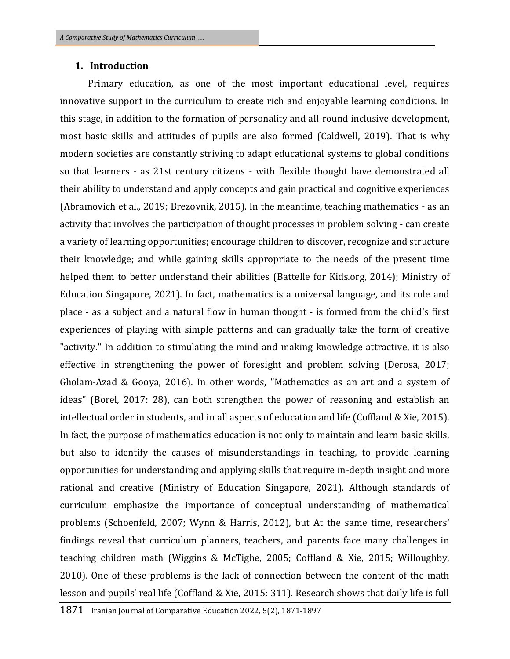## **1. Introduction**

 Primary education, as one of the most important educational level, requires innovative support in the curriculum to create rich and enjoyable learning conditions. In this stage, in addition to the formation of personality and all-round inclusive development, most basic skills and attitudes of pupils are also formed (Caldwell, 2019). That is why modern societies are constantly striving to adapt educational systems to global conditions so that learners - as 21st century citizens - with flexible thought have demonstrated all their ability to understand and apply concepts and gain practical and cognitive experiences (Abramovich et al., 2019; Brezovnik, 2015). In the meantime, teaching mathematics - as an activity that involves the participation of thought processes in problem solving - can create a variety of learning opportunities; encourage children to discover, recognize and structure their knowledge; and while gaining skills appropriate to the needs of the present time helped them to better understand their abilities (Battelle for Kids.org, 2014); Ministry of Education Singapore, 2021). In fact, mathematics is a universal language, and its role and place - as a subject and a natural flow in human thought - is formed from the child's first experiences of playing with simple patterns and can gradually take the form of creative "activity." In addition to stimulating the mind and making knowledge attractive, it is also effective in strengthening the power of foresight and problem solving (Derosa, 2017; Gholam-Azad & Gooya, 2016). In other words, "Mathematics as an art and a system of ideas" (Borel, 2017: 28), can both strengthen the power of reasoning and establish an intellectual order in students, and in all aspects of education and life (Coffland & Xie, 2015). In fact, the purpose of mathematics education is not only to maintain and learn basic skills, but also to identify the causes of misunderstandings in teaching, to provide learning opportunities for understanding and applying skills that require in-depth insight and more rational and creative (Ministry of Education Singapore, 2021). Although standards of curriculum emphasize the importance of conceptual understanding of mathematical problems (Schoenfeld, 2007; Wynn & Harris, 2012), but At the same time, researchers' findings reveal that curriculum planners, teachers, and parents face many challenges in teaching children math (Wiggins & McTighe, 2005; Coffland & Xie, 2015; Willoughby, 2010). One of these problems is the lack of connection between the content of the math lesson and pupils' real life (Coffland & Xie, 2015: 311). Research shows that daily life is full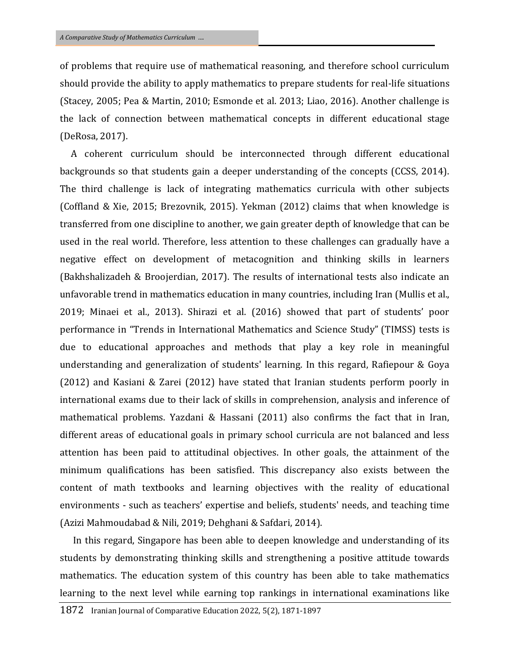of problems that require use of mathematical reasoning, and therefore school curriculum should provide the ability to apply mathematics to prepare students for real-life situations (Stacey, 2005; Pea & Martin, 2010; Esmonde et al. 2013; Liao, 2016). Another challenge is the lack of connection between mathematical concepts in different educational stage (DeRosa, 2017).

 A coherent curriculum should be interconnected through different educational backgrounds so that students gain a deeper understanding of the concepts (CCSS, 2014). The third challenge is lack of integrating mathematics curricula with other subjects (Coffland & Xie, 2015; Brezovnik, 2015). Yekman (2012) claims that when knowledge is transferred from one discipline to another, we gain greater depth of knowledge that can be used in the real world. Therefore, less attention to these challenges can gradually have a negative effect on development of metacognition and thinking skills in learners (Bakhshalizadeh & Broojerdian, 2017). The results of international tests also indicate an unfavorable trend in mathematics education in many countries, including Iran (Mullis et al., 2019; Minaei et al., 2013). Shirazi et al. (2016) showed that part of students' poor performance in "Trends in International Mathematics and Science Study" (TIMSS) tests is due to educational approaches and methods that play a key role in meaningful understanding and generalization of students' learning. In this regard, Rafiepour & Goya (2012) and Kasiani & Zarei (2012) have stated that Iranian students perform poorly in international exams due to their lack of skills in comprehension, analysis and inference of mathematical problems. Yazdani & Hassani (2011) also confirms the fact that in Iran, different areas of educational goals in primary school curricula are not balanced and less attention has been paid to attitudinal objectives. In other goals, the attainment of the minimum qualifications has been satisfied. This discrepancy also exists between the content of math textbooks and learning objectives with the reality of educational environments - such as teachers' expertise and beliefs, students' needs, and teaching time (Azizi Mahmoudabad & Nili, 2019; Dehghani & Safdari, 2014).

 In this regard, Singapore has been able to deepen knowledge and understanding of its students by demonstrating thinking skills and strengthening a positive attitude towards mathematics. The education system of this country has been able to take mathematics learning to the next level while earning top rankings in international examinations like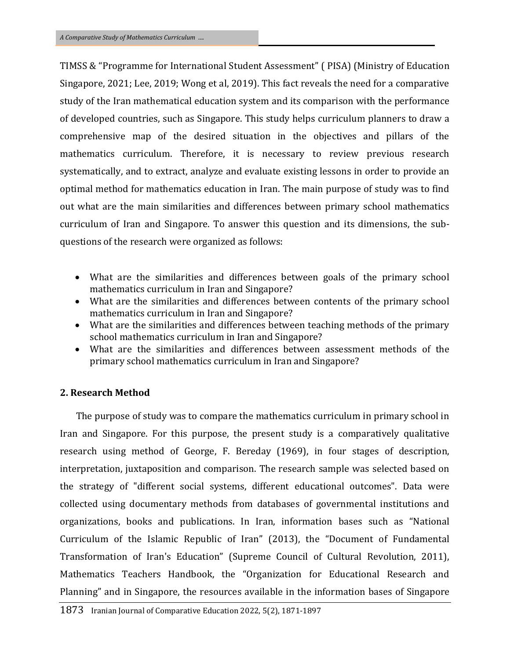TIMSS & "Programme for International Student Assessment" ( PISA) (Ministry of Education Singapore, 2021; Lee, 2019; Wong et al, 2019). This fact reveals the need for a comparative study of the Iran mathematical education system and its comparison with the performance of developed countries, such as Singapore. This study helps curriculum planners to draw a comprehensive map of the desired situation in the objectives and pillars of the mathematics curriculum. Therefore, it is necessary to review previous research systematically, and to extract, analyze and evaluate existing lessons in order to provide an optimal method for mathematics education in Iran. The main purpose of study was to find out what are the main similarities and differences between primary school mathematics curriculum of Iran and Singapore. To answer this question and its dimensions, the subquestions of the research were organized as follows:

- What are the similarities and differences between goals of the primary school mathematics curriculum in Iran and Singapore?
- What are the similarities and differences between contents of the primary school mathematics curriculum in Iran and Singapore?
- What are the similarities and differences between teaching methods of the primary school mathematics curriculum in Iran and Singapore?
- What are the similarities and differences between assessment methods of the primary school mathematics curriculum in Iran and Singapore?

## **2. Research Method**

 The purpose of study was to compare the mathematics curriculum in primary school in Iran and Singapore. For this purpose, the present study is a comparatively qualitative research using method of George, F. Bereday (1969), in four stages of description, interpretation, juxtaposition and comparison. The research sample was selected based on the strategy of "different social systems, different educational outcomes". Data were collected using documentary methods from databases of governmental institutions and organizations, books and publications. In Iran, information bases such as "National Curriculum of the Islamic Republic of Iran" (2013), the "Document of Fundamental Transformation of Iran's Education" (Supreme Council of Cultural Revolution, 2011), Mathematics Teachers Handbook, the "Organization for Educational Research and Planning" and in Singapore, the resources available in the information bases of Singapore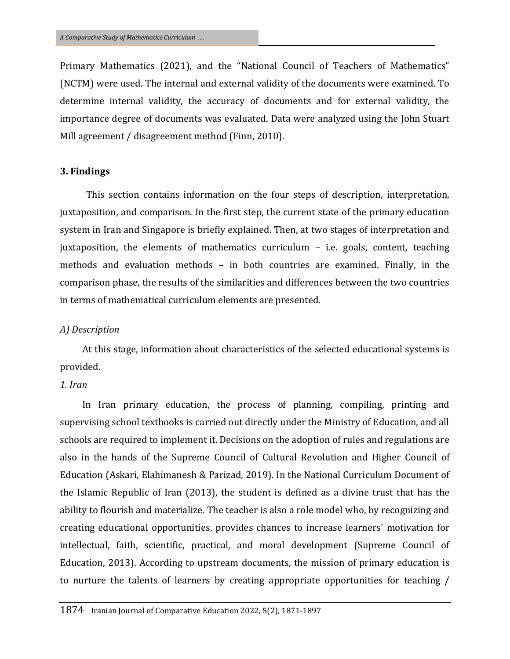Primary Mathematics (2021), and the "National Council of Teachers of Mathematics" (NCTM) were used. The internal and external validity of the documents were examined. To determine internal validity, the accuracy of documents and for external validity, the importance degree of documents was evaluated. Data were analyzed using the John Stuart Mill agreement / disagreement method (Finn, 2010).

### **3. Findings**

 This section contains information on the four steps of description, interpretation, juxtaposition, and comparison. In the first step, the current state of the primary education system in Iran and Singapore is briefly explained. Then, at two stages of interpretation and juxtaposition, the elements of mathematics curriculum – i.e. goals, content, teaching methods and evaluation methods – in both countries are examined. Finally, in the comparison phase, the results of the similarities and differences between the two countries in terms of mathematical curriculum elements are presented.

#### *A) Description*

At this stage, information about characteristics of the selected educational systems is provided.

## *1. Iran*

In Iran primary education, the process of planning, compiling, printing and supervising school textbooks is carried out directly under the Ministry of Education, and all schools are required to implement it. Decisions on the adoption of rules and regulations are also in the hands of the Supreme Council of Cultural Revolution and Higher Council of Education (Askari, Elahimanesh & Parizad, 2019). In the National Curriculum Document of the Islamic Republic of Iran (2013), the student is defined as a divine trust that has the ability to flourish and materialize. The teacher is also a role model who, by recognizing and creating educational opportunities, provides chances to increase learners' motivation for intellectual, faith, scientific, practical, and moral development (Supreme Council of Education, 2013). According to upstream documents, the mission of primary education is to nurture the talents of learners by creating appropriate opportunities for teaching /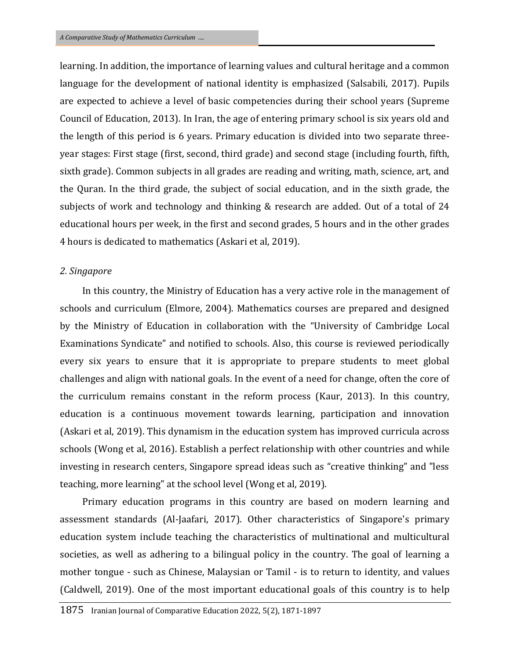learning. In addition, the importance of learning values and cultural heritage and a common language for the development of national identity is emphasized (Salsabili, 2017). Pupils are expected to achieve a level of basic competencies during their school years (Supreme Council of Education, 2013). In Iran, the age of entering primary school is six years old and the length of this period is 6 years. Primary education is divided into two separate threeyear stages: First stage (first, second, third grade) and second stage (including fourth, fifth, sixth grade). Common subjects in all grades are reading and writing, math, science, art, and the Quran. In the third grade, the subject of social education, and in the sixth grade, the subjects of work and technology and thinking & research are added. Out of a total of 24 educational hours per week, in the first and second grades, 5 hours and in the other grades 4 hours is dedicated to mathematics (Askari et al, 2019).

#### *2. Singapore*

In this country, the Ministry of Education has a very active role in the management of schools and curriculum (Elmore, 2004). Mathematics courses are prepared and designed by the Ministry of Education in collaboration with the "University of Cambridge Local Examinations Syndicate" and notified to schools. Also, this course is reviewed periodically every six years to ensure that it is appropriate to prepare students to meet global challenges and align with national goals. In the event of a need for change, often the core of the curriculum remains constant in the reform process (Kaur, 2013). In this country, education is a continuous movement towards learning, participation and innovation (Askari et al, 2019). This dynamism in the education system has improved curricula across schools (Wong et al, 2016). Establish a perfect relationship with other countries and while investing in research centers, Singapore spread ideas such as "creative thinking" and "less teaching, more learning" at the school level (Wong et al, 2019).

Primary education programs in this country are based on modern learning and assessment standards (Al-Jaafari, 2017). Other characteristics of Singapore's primary education system include teaching the characteristics of multinational and multicultural societies, as well as adhering to a bilingual policy in the country. The goal of learning a mother tongue - such as Chinese, Malaysian or Tamil - is to return to identity, and values (Caldwell, 2019). One of the most important educational goals of this country is to help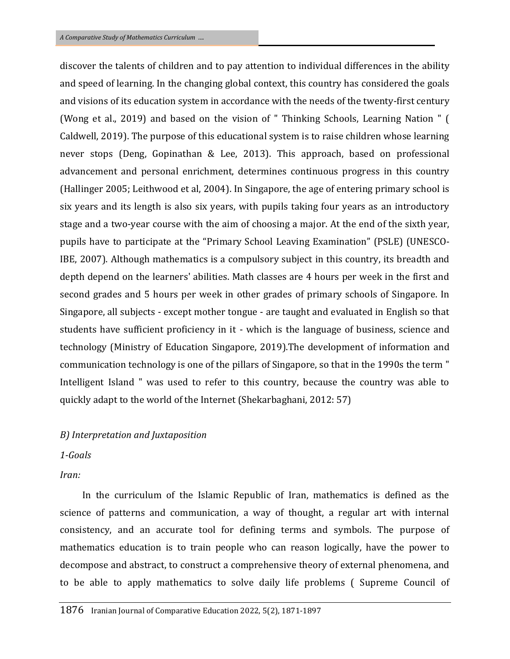discover the talents of children and to pay attention to individual differences in the ability and speed of learning. In the changing global context, this country has considered the goals and visions of its education system in accordance with the needs of the twenty-first century (Wong et al., 2019) and based on the vision of " Thinking Schools, Learning Nation " ( Caldwell, 2019). The purpose of this educational system is to raise children whose learning never stops (Deng, Gopinathan & Lee, 2013). This approach, based on professional advancement and personal enrichment, determines continuous progress in this country (Hallinger 2005; Leithwood et al, 2004). In Singapore, the age of entering primary school is six years and its length is also six years, with pupils taking four years as an introductory stage and a two-year course with the aim of choosing a major. At the end of the sixth year, pupils have to participate at the "Primary School Leaving Examination" (PSLE) (UNESCO-IBE, 2007). Although mathematics is a compulsory subject in this country, its breadth and depth depend on the learners' abilities. Math classes are 4 hours per week in the first and second grades and 5 hours per week in other grades of primary schools of Singapore. In Singapore, all subjects - except mother tongue - are taught and evaluated in English so that students have sufficient proficiency in it - which is the language of business, science and technology (Ministry of Education Singapore, 2019).The development of information and communication technology is one of the pillars of Singapore, so that in the 1990s the term " Intelligent Island " was used to refer to this country, because the country was able to quickly adapt to the world of the Internet (Shekarbaghani, 2012: 57)

## *B) Interpretation and Juxtaposition*

## *1-Goals*

*Iran:* 

In the curriculum of the Islamic Republic of Iran, mathematics is defined as the science of patterns and communication, a way of thought, a regular art with internal consistency, and an accurate tool for defining terms and symbols. The purpose of mathematics education is to train people who can reason logically, have the power to decompose and abstract, to construct a comprehensive theory of external phenomena, and to be able to apply mathematics to solve daily life problems ( Supreme Council of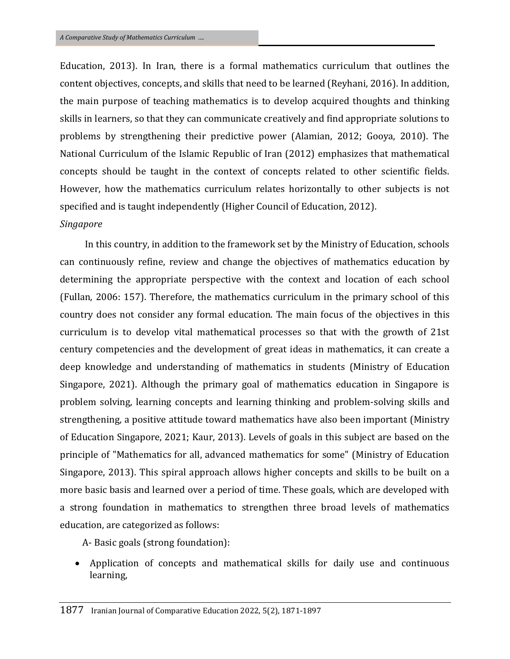Education, 2013). In Iran, there is a formal mathematics curriculum that outlines the content objectives, concepts, and skills that need to be learned (Reyhani, 2016). In addition, the main purpose of teaching mathematics is to develop acquired thoughts and thinking skills in learners, so that they can communicate creatively and find appropriate solutions to problems by strengthening their predictive power (Alamian, 2012; Gooya, 2010). The National Curriculum of the Islamic Republic of Iran (2012) emphasizes that mathematical concepts should be taught in the context of concepts related to other scientific fields. However, how the mathematics curriculum relates horizontally to other subjects is not specified and is taught independently (Higher Council of Education, 2012).

#### *Singapore*

In this country, in addition to the framework set by the Ministry of Education, schools can continuously refine, review and change the objectives of mathematics education by determining the appropriate perspective with the context and location of each school (Fullan, 2006: 157). Therefore, the mathematics curriculum in the primary school of this country does not consider any formal education. The main focus of the objectives in this curriculum is to develop vital mathematical processes so that with the growth of 21st century competencies and the development of great ideas in mathematics, it can create a deep knowledge and understanding of mathematics in students (Ministry of Education Singapore, 2021). Although the primary goal of mathematics education in Singapore is problem solving, learning concepts and learning thinking and problem-solving skills and strengthening, a positive attitude toward mathematics have also been important (Ministry of Education Singapore, 2021; Kaur, 2013). Levels of goals in this subject are based on the principle of "Mathematics for all, advanced mathematics for some" (Ministry of Education Singapore, 2013). This spiral approach allows higher concepts and skills to be built on a more basic basis and learned over a period of time. These goals, which are developed with a strong foundation in mathematics to strengthen three broad levels of mathematics education, are categorized as follows:

A- Basic goals (strong foundation):

 Application of concepts and mathematical skills for daily use and continuous learning,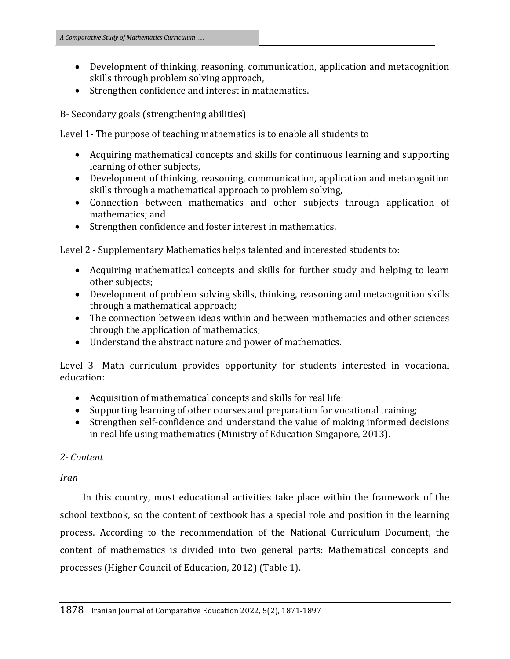- Development of thinking, reasoning, communication, application and metacognition skills through problem solving approach,
- Strengthen confidence and interest in mathematics.

B- Secondary goals (strengthening abilities)

Level 1- The purpose of teaching mathematics is to enable all students to

- Acquiring mathematical concepts and skills for continuous learning and supporting learning of other subjects,
- Development of thinking, reasoning, communication, application and metacognition skills through a mathematical approach to problem solving,
- Connection between mathematics and other subjects through application of mathematics; and
- Strengthen confidence and foster interest in mathematics.

Level 2 - Supplementary Mathematics helps talented and interested students to:

- Acquiring mathematical concepts and skills for further study and helping to learn other subjects;
- Development of problem solving skills, thinking, reasoning and metacognition skills through a mathematical approach;
- The connection between ideas within and between mathematics and other sciences through the application of mathematics;
- Understand the abstract nature and power of mathematics.

Level 3- Math curriculum provides opportunity for students interested in vocational education:

- Acquisition of mathematical concepts and skills for real life;
- Supporting learning of other courses and preparation for vocational training;
- Strengthen self-confidence and understand the value of making informed decisions in real life using mathematics (Ministry of Education Singapore, 2013).

## *2- Content*

*Iran*

In this country, most educational activities take place within the framework of the school textbook, so the content of textbook has a special role and position in the learning process. According to the recommendation of the National Curriculum Document, the content of mathematics is divided into two general parts: Mathematical concepts and processes (Higher Council of Education, 2012) (Table 1).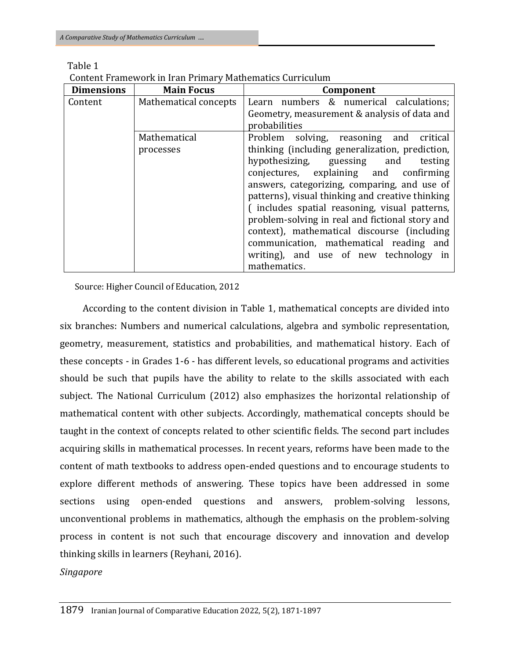| <b>Dimensions</b> | <b>Main Focus</b>         | Component                                                                                                                                                                                                                                                                                                                                                                                                                                                                                                                                  |
|-------------------|---------------------------|--------------------------------------------------------------------------------------------------------------------------------------------------------------------------------------------------------------------------------------------------------------------------------------------------------------------------------------------------------------------------------------------------------------------------------------------------------------------------------------------------------------------------------------------|
| Content           | Mathematical concepts     | Learn numbers & numerical calculations;<br>Geometry, measurement & analysis of data and<br>probabilities                                                                                                                                                                                                                                                                                                                                                                                                                                   |
|                   | Mathematical<br>processes | Problem solving, reasoning and critical<br>thinking (including generalization, prediction,<br>hypothesizing, guessing and<br>testing<br>conjectures, explaining and confirming<br>answers, categorizing, comparing, and use of<br>patterns), visual thinking and creative thinking<br>(includes spatial reasoning, visual patterns,<br>problem-solving in real and fictional story and<br>context), mathematical discourse (including<br>communication, mathematical reading and<br>writing), and use of new technology in<br>mathematics. |

Table 1

Content Framework in Iran Primary Mathematics Curriculum

Source: Higher Council of Education, 2012

According to the content division in Table 1, mathematical concepts are divided into six branches: Numbers and numerical calculations, algebra and symbolic representation, geometry, measurement, statistics and probabilities, and mathematical history. Each of these concepts - in Grades 1-6 - has different levels, so educational programs and activities should be such that pupils have the ability to relate to the skills associated with each subject. The National Curriculum (2012) also emphasizes the horizontal relationship of mathematical content with other subjects. Accordingly, mathematical concepts should be taught in the context of concepts related to other scientific fields. The second part includes acquiring skills in mathematical processes. In recent years, reforms have been made to the content of math textbooks to address open-ended questions and to encourage students to explore different methods of answering. These topics have been addressed in some sections using open-ended questions and answers, problem-solving lessons, unconventional problems in mathematics, although the emphasis on the problem-solving process in content is not such that encourage discovery and innovation and develop thinking skills in learners (Reyhani, 2016).

*Singapore*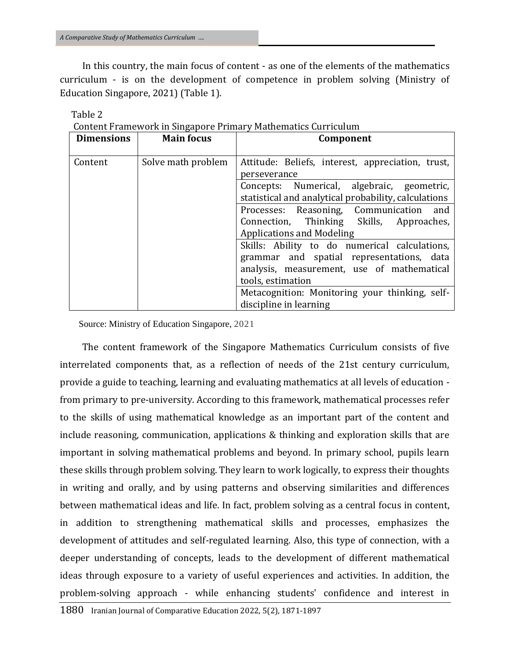In this country, the main focus of content - as one of the elements of the mathematics curriculum - is on the development of competence in problem solving (Ministry of Education Singapore, 2021) (Table 1).

| <b>Dimensions</b> | <b>Main focus</b>  | Component                                                                                          |
|-------------------|--------------------|----------------------------------------------------------------------------------------------------|
| Content           | Solve math problem | Attitude: Beliefs, interest, appreciation, trust,<br>perseverance                                  |
|                   |                    | Concepts: Numerical, algebraic, geometric,<br>statistical and analytical probability, calculations |
|                   |                    | Processes: Reasoning, Communication and<br>Connection, Thinking Skills, Approaches,                |
|                   |                    | <b>Applications and Modeling</b>                                                                   |
|                   |                    | Skills: Ability to do numerical calculations,                                                      |
|                   |                    | grammar and spatial representations, data                                                          |
|                   |                    | analysis, measurement, use of mathematical                                                         |
|                   |                    | tools, estimation                                                                                  |
|                   |                    | Metacognition: Monitoring your thinking, self-                                                     |
|                   |                    | discipline in learning                                                                             |

|  |  | Content Framework in Singapore Primary Mathematics Curriculum |
|--|--|---------------------------------------------------------------|
|  |  |                                                               |
|  |  |                                                               |
|  |  |                                                               |

Source: Ministry of Education Singapore, 2021

The content framework of the Singapore Mathematics Curriculum consists of five interrelated components that, as a reflection of needs of the 21st century curriculum, provide a guide to teaching, learning and evaluating mathematics at all levels of education from primary to pre-university. According to this framework, mathematical processes refer to the skills of using mathematical knowledge as an important part of the content and include reasoning, communication, applications & thinking and exploration skills that are important in solving mathematical problems and beyond. In primary school, pupils learn these skills through problem solving. They learn to work logically, to express their thoughts in writing and orally, and by using patterns and observing similarities and differences between mathematical ideas and life. In fact, problem solving as a central focus in content, in addition to strengthening mathematical skills and processes, emphasizes the development of attitudes and self-regulated learning. Also, this type of connection, with a deeper understanding of concepts, leads to the development of different mathematical ideas through exposure to a variety of useful experiences and activities. In addition, the problem-solving approach - while enhancing students' confidence and interest in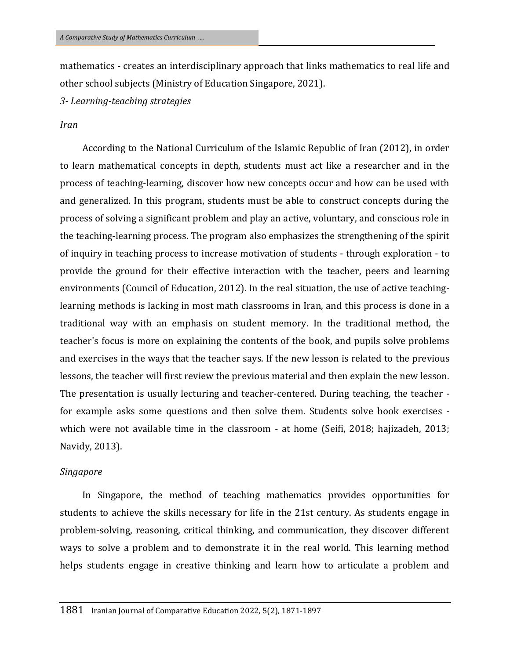mathematics - creates an interdisciplinary approach that links mathematics to real life and other school subjects (Ministry of Education Singapore, 2021).

*3- Learning-teaching strategies*

#### *Iran*

According to the National Curriculum of the Islamic Republic of Iran (2012), in order to learn mathematical concepts in depth, students must act like a researcher and in the process of teaching-learning, discover how new concepts occur and how can be used with and generalized. In this program, students must be able to construct concepts during the process of solving a significant problem and play an active, voluntary, and conscious role in the teaching-learning process. The program also emphasizes the strengthening of the spirit of inquiry in teaching process to increase motivation of students - through exploration - to provide the ground for their effective interaction with the teacher, peers and learning environments (Council of Education, 2012). In the real situation, the use of active teachinglearning methods is lacking in most math classrooms in Iran, and this process is done in a traditional way with an emphasis on student memory. In the traditional method, the teacher's focus is more on explaining the contents of the book, and pupils solve problems and exercises in the ways that the teacher says. If the new lesson is related to the previous lessons, the teacher will first review the previous material and then explain the new lesson. The presentation is usually lecturing and teacher-centered. During teaching, the teacher for example asks some questions and then solve them. Students solve book exercises which were not available time in the classroom - at home (Seifi, 2018; hajizadeh, 2013; Navidy, 2013).

#### *Singapore*

In Singapore, the method of teaching mathematics provides opportunities for students to achieve the skills necessary for life in the 21st century. As students engage in problem-solving, reasoning, critical thinking, and communication, they discover different ways to solve a problem and to demonstrate it in the real world. This learning method helps students engage in creative thinking and learn how to articulate a problem and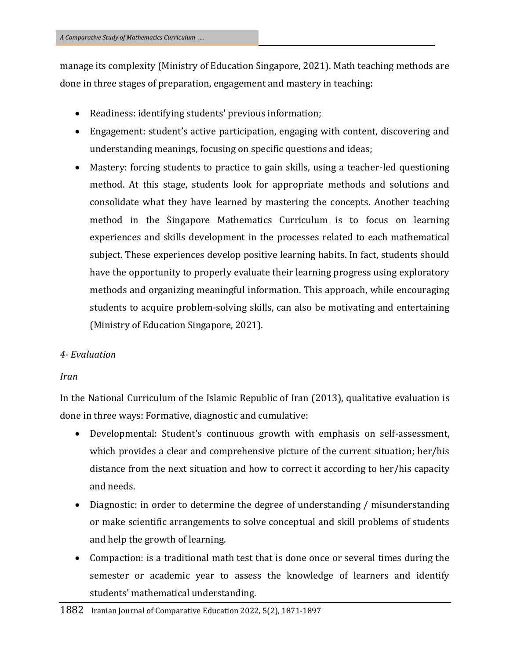manage its complexity (Ministry of Education Singapore, 2021). Math teaching methods are done in three stages of preparation, engagement and mastery in teaching:

- Readiness: identifying students' previous information;
- Engagement: student's active participation, engaging with content, discovering and understanding meanings, focusing on specific questions and ideas;
- Mastery: forcing students to practice to gain skills, using a teacher-led questioning method. At this stage, students look for appropriate methods and solutions and consolidate what they have learned by mastering the concepts. Another teaching method in the Singapore Mathematics Curriculum is to focus on learning experiences and skills development in the processes related to each mathematical subject. These experiences develop positive learning habits. In fact, students should have the opportunity to properly evaluate their learning progress using exploratory methods and organizing meaningful information. This approach, while encouraging students to acquire problem-solving skills, can also be motivating and entertaining (Ministry of Education Singapore, 2021).

## *4- Evaluation*

## *Iran*

In the National Curriculum of the Islamic Republic of Iran (2013), qualitative evaluation is done in three ways: Formative, diagnostic and cumulative:

- Developmental: Student's continuous growth with emphasis on self-assessment, which provides a clear and comprehensive picture of the current situation; her/his distance from the next situation and how to correct it according to her/his capacity and needs.
- Diagnostic: in order to determine the degree of understanding / misunderstanding or make scientific arrangements to solve conceptual and skill problems of students and help the growth of learning.
- Compaction: is a traditional math test that is done once or several times during the semester or academic year to assess the knowledge of learners and identify students' mathematical understanding.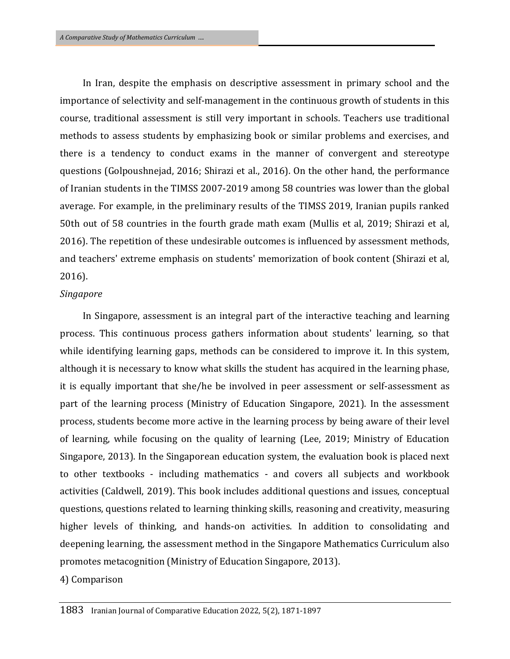In Iran, despite the emphasis on descriptive assessment in primary school and the importance of selectivity and self-management in the continuous growth of students in this course, traditional assessment is still very important in schools. Teachers use traditional methods to assess students by emphasizing book or similar problems and exercises, and there is a tendency to conduct exams in the manner of convergent and stereotype questions (Golpoushnejad, 2016; Shirazi et al., 2016). On the other hand, the performance of Iranian students in the TIMSS 2007-2019 among 58 countries was lower than the global average. For example, in the preliminary results of the TIMSS 2019, Iranian pupils ranked 50th out of 58 countries in the fourth grade math exam (Mullis et al, 2019; Shirazi et al, 2016). The repetition of these undesirable outcomes is influenced by assessment methods, and teachers' extreme emphasis on students' memorization of book content (Shirazi et al, 2016).

#### *Singapore*

In Singapore, assessment is an integral part of the interactive teaching and learning process. This continuous process gathers information about students' learning, so that while identifying learning gaps, methods can be considered to improve it. In this system, although it is necessary to know what skills the student has acquired in the learning phase, it is equally important that she/he be involved in peer assessment or self-assessment as part of the learning process (Ministry of Education Singapore, 2021). In the assessment process, students become more active in the learning process by being aware of their level of learning, while focusing on the quality of learning (Lee, 2019; Ministry of Education Singapore, 2013). In the Singaporean education system, the evaluation book is placed next to other textbooks - including mathematics - and covers all subjects and workbook activities (Caldwell, 2019). This book includes additional questions and issues, conceptual questions, questions related to learning thinking skills, reasoning and creativity, measuring higher levels of thinking, and hands-on activities. In addition to consolidating and deepening learning, the assessment method in the Singapore Mathematics Curriculum also promotes metacognition (Ministry of Education Singapore, 2013).

4) Comparison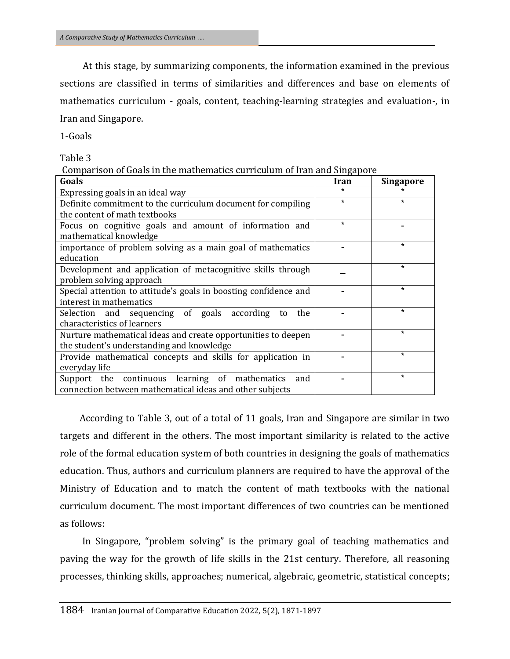At this stage, by summarizing components, the information examined in the previous sections are classified in terms of similarities and differences and base on elements of mathematics curriculum - goals, content, teaching-learning strategies and evaluation-, in Iran and Singapore.

1-Goals

Table 3

|  |  | Comparison of Goals in the mathematics curriculum of Iran and Singapore |  |  |
|--|--|-------------------------------------------------------------------------|--|--|
|  |  |                                                                         |  |  |

| Goals                                                            | Iran    | <b>Singapore</b> |
|------------------------------------------------------------------|---------|------------------|
| Expressing goals in an ideal way                                 | $\star$ |                  |
| Definite commitment to the curriculum document for compiling     | $\star$ | $\star$          |
| the content of math textbooks                                    |         |                  |
| Focus on cognitive goals and amount of information and           | $\star$ |                  |
| mathematical knowledge                                           |         |                  |
| importance of problem solving as a main goal of mathematics      |         | $\star$          |
| education                                                        |         |                  |
| Development and application of metacognitive skills through      |         | $\star$          |
| problem solving approach                                         |         |                  |
| Special attention to attitude's goals in boosting confidence and |         | $\star$          |
| interest in mathematics                                          |         |                  |
| Selection and sequencing of goals according<br>the<br>to         |         | $\star$          |
| characteristics of learners                                      |         |                  |
| Nurture mathematical ideas and create opportunities to deepen    |         | $\star$          |
| the student's understanding and knowledge                        |         |                  |
| Provide mathematical concepts and skills for application in      |         | $\star$          |
| everyday life                                                    |         |                  |
| Support the continuous learning of mathematics<br>and            |         | $\star$          |
| connection between mathematical ideas and other subjects         |         |                  |

 According to Table 3, out of a total of 11 goals, Iran and Singapore are similar in two targets and different in the others. The most important similarity is related to the active role of the formal education system of both countries in designing the goals of mathematics education. Thus, authors and curriculum planners are required to have the approval of the Ministry of Education and to match the content of math textbooks with the national curriculum document. The most important differences of two countries can be mentioned as follows:

In Singapore, "problem solving" is the primary goal of teaching mathematics and paving the way for the growth of life skills in the 21st century. Therefore, all reasoning processes, thinking skills, approaches; numerical, algebraic, geometric, statistical concepts;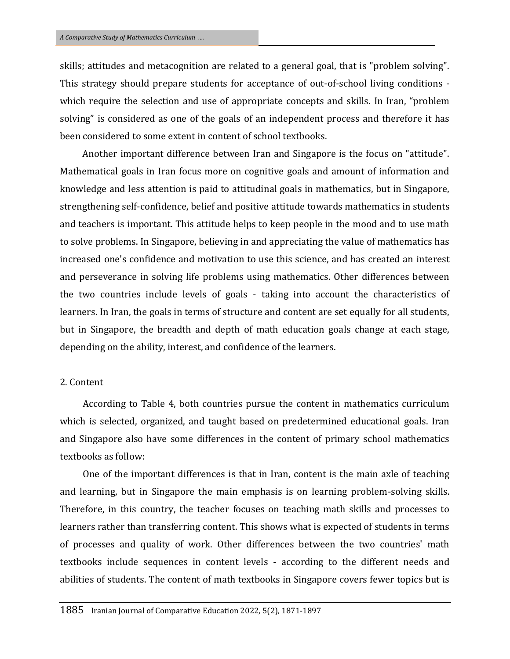skills; attitudes and metacognition are related to a general goal, that is "problem solving". This strategy should prepare students for acceptance of out-of-school living conditions which require the selection and use of appropriate concepts and skills. In Iran, "problem solving" is considered as one of the goals of an independent process and therefore it has been considered to some extent in content of school textbooks.

Another important difference between Iran and Singapore is the focus on "attitude". Mathematical goals in Iran focus more on cognitive goals and amount of information and knowledge and less attention is paid to attitudinal goals in mathematics, but in Singapore, strengthening self-confidence, belief and positive attitude towards mathematics in students and teachers is important. This attitude helps to keep people in the mood and to use math to solve problems. In Singapore, believing in and appreciating the value of mathematics has increased one's confidence and motivation to use this science, and has created an interest and perseverance in solving life problems using mathematics. Other differences between the two countries include levels of goals - taking into account the characteristics of learners. In Iran, the goals in terms of structure and content are set equally for all students, but in Singapore, the breadth and depth of math education goals change at each stage, depending on the ability, interest, and confidence of the learners.

#### 2. Content

According to Table 4, both countries pursue the content in mathematics curriculum which is selected, organized, and taught based on predetermined educational goals. Iran and Singapore also have some differences in the content of primary school mathematics textbooks as follow:

One of the important differences is that in Iran, content is the main axle of teaching and learning, but in Singapore the main emphasis is on learning problem-solving skills. Therefore, in this country, the teacher focuses on teaching math skills and processes to learners rather than transferring content. This shows what is expected of students in terms of processes and quality of work. Other differences between the two countries' math textbooks include sequences in content levels - according to the different needs and abilities of students. The content of math textbooks in Singapore covers fewer topics but is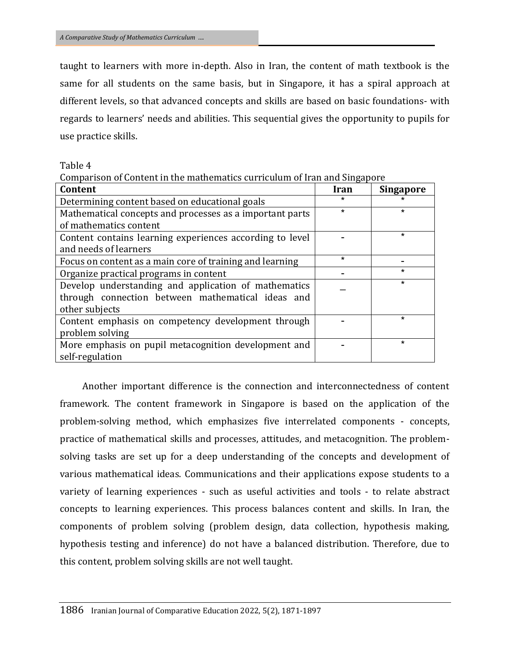taught to learners with more in-depth. Also in Iran, the content of math textbook is the same for all students on the same basis, but in Singapore, it has a spiral approach at different levels, so that advanced concepts and skills are based on basic foundations- with regards to learners' needs and abilities. This sequential gives the opportunity to pupils for use practice skills.

Table 4

|  |  |  | Comparison of Content in the mathematics curriculum of Iran and Singapore |  |  |  |
|--|--|--|---------------------------------------------------------------------------|--|--|--|
|  |  |  |                                                                           |  |  |  |

| Content                                                  | Iran    | <b>Singapore</b> |
|----------------------------------------------------------|---------|------------------|
| Determining content based on educational goals           | ÷       |                  |
| Mathematical concepts and processes as a important parts | $\star$ | $\star$          |
| of mathematics content                                   |         |                  |
| Content contains learning experiences according to level |         | $\star$          |
| and needs of learners                                    |         |                  |
| Focus on content as a main core of training and learning | $\star$ |                  |
| Organize practical programs in content                   |         | $\star$          |
| Develop understanding and application of mathematics     |         | $\star$          |
| through connection between mathematical ideas and        |         |                  |
| other subjects                                           |         |                  |
| Content emphasis on competency development through       |         | $\star$          |
| problem solving                                          |         |                  |
| More emphasis on pupil metacognition development and     |         | $\star$          |
| self-regulation                                          |         |                  |

Another important difference is the connection and interconnectedness of content framework. The content framework in Singapore is based on the application of the problem-solving method, which emphasizes five interrelated components - concepts, practice of mathematical skills and processes, attitudes, and metacognition. The problemsolving tasks are set up for a deep understanding of the concepts and development of various mathematical ideas. Communications and their applications expose students to a variety of learning experiences - such as useful activities and tools - to relate abstract concepts to learning experiences. This process balances content and skills. In Iran, the components of problem solving (problem design, data collection, hypothesis making, hypothesis testing and inference) do not have a balanced distribution. Therefore, due to this content, problem solving skills are not well taught.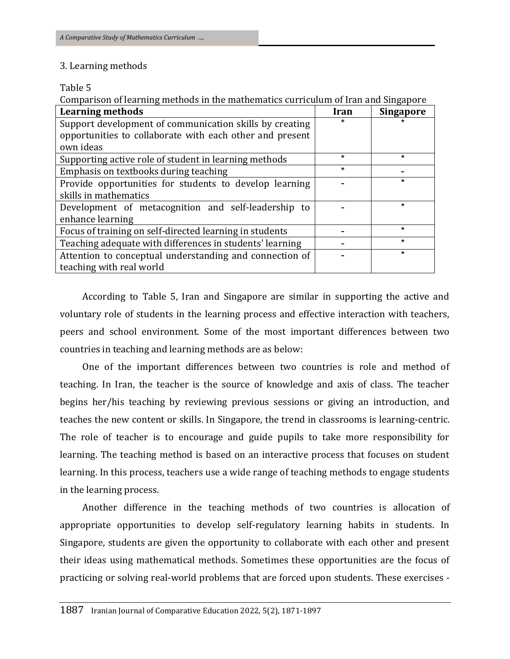## 3. Learning methods

### Table 5

Comparison of learning methods in the mathematics curriculum of Iran and Singapore

| <b>Learning methods</b>                                  | Iran    | <b>Singapore</b> |
|----------------------------------------------------------|---------|------------------|
| Support development of communication skills by creating  |         |                  |
| opportunities to collaborate with each other and present |         |                  |
| own ideas                                                |         |                  |
| Supporting active role of student in learning methods    | $\star$ | $\star$          |
| Emphasis on textbooks during teaching                    | $\star$ |                  |
| Provide opportunities for students to develop learning   |         | $\star$          |
| skills in mathematics                                    |         |                  |
| Development of metacognition and self-leadership to      |         | $\star$          |
| enhance learning                                         |         |                  |
| Focus of training on self-directed learning in students  |         | $\star$          |
| Teaching adequate with differences in students' learning |         | $\star$          |
| Attention to conceptual understanding and connection of  |         | $\star$          |
| teaching with real world                                 |         |                  |

According to Table 5, Iran and Singapore are similar in supporting the active and voluntary role of students in the learning process and effective interaction with teachers, peers and school environment. Some of the most important differences between two countries in teaching and learning methods are as below:

One of the important differences between two countries is role and method of teaching. In Iran, the teacher is the source of knowledge and axis of class. The teacher begins her/his teaching by reviewing previous sessions or giving an introduction, and teaches the new content or skills. In Singapore, the trend in classrooms is learning-centric. The role of teacher is to encourage and guide pupils to take more responsibility for learning. The teaching method is based on an interactive process that focuses on student learning. In this process, teachers use a wide range of teaching methods to engage students in the learning process.

Another difference in the teaching methods of two countries is allocation of appropriate opportunities to develop self-regulatory learning habits in students. In Singapore, students are given the opportunity to collaborate with each other and present their ideas using mathematical methods. Sometimes these opportunities are the focus of practicing or solving real-world problems that are forced upon students. These exercises -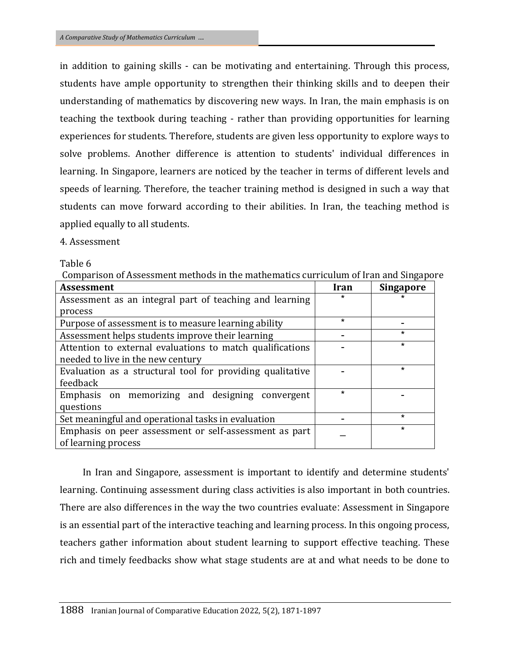in addition to gaining skills - can be motivating and entertaining. Through this process, students have ample opportunity to strengthen their thinking skills and to deepen their understanding of mathematics by discovering new ways. In Iran, the main emphasis is on teaching the textbook during teaching - rather than providing opportunities for learning experiences for students. Therefore, students are given less opportunity to explore ways to solve problems. Another difference is attention to students' individual differences in learning. In Singapore, learners are noticed by the teacher in terms of different levels and speeds of learning. Therefore, the teacher training method is designed in such a way that students can move forward according to their abilities. In Iran, the teaching method is applied equally to all students.

## 4. Assessment

## Table 6

Comparison of Assessment methods in the mathematics curriculum of Iran and Singapore

| <b>Assessment</b>                                         | Iran    | <b>Singapore</b> |
|-----------------------------------------------------------|---------|------------------|
| Assessment as an integral part of teaching and learning   | $\star$ | $\star$          |
| process                                                   |         |                  |
| Purpose of assessment is to measure learning ability      | $\star$ |                  |
| Assessment helps students improve their learning          |         | $\star$          |
| Attention to external evaluations to match qualifications |         | $\star$          |
| needed to live in the new century                         |         |                  |
| Evaluation as a structural tool for providing qualitative |         | $\star$          |
| feedback                                                  |         |                  |
| Emphasis on memorizing and designing convergent           | $\star$ |                  |
| questions                                                 |         |                  |
| Set meaningful and operational tasks in evaluation        |         | $\star$          |
| Emphasis on peer assessment or self-assessment as part    |         | $\star$          |
| of learning process                                       |         |                  |

In Iran and Singapore, assessment is important to identify and determine students' learning. Continuing assessment during class activities is also important in both countries. There are also differences in the way the two countries evaluate: Assessment in Singapore is an essential part of the interactive teaching and learning process. In this ongoing process, teachers gather information about student learning to support effective teaching. These rich and timely feedbacks show what stage students are at and what needs to be done to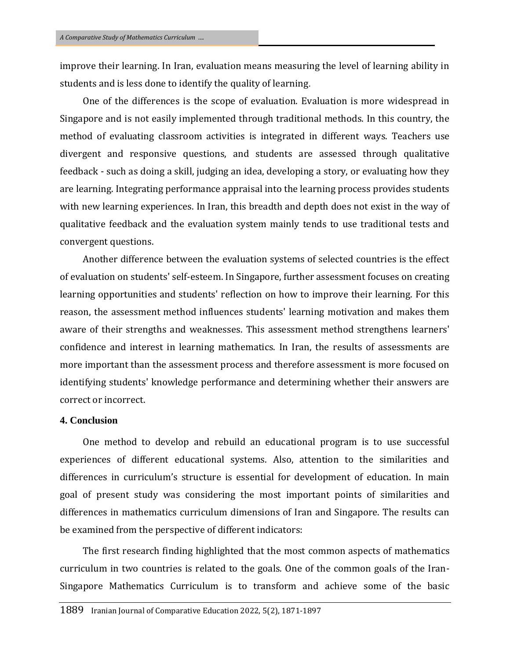improve their learning. In Iran, evaluation means measuring the level of learning ability in students and is less done to identify the quality of learning.

One of the differences is the scope of evaluation. Evaluation is more widespread in Singapore and is not easily implemented through traditional methods. In this country, the method of evaluating classroom activities is integrated in different ways. Teachers use divergent and responsive questions, and students are assessed through qualitative feedback - such as doing a skill, judging an idea, developing a story, or evaluating how they are learning. Integrating performance appraisal into the learning process provides students with new learning experiences. In Iran, this breadth and depth does not exist in the way of qualitative feedback and the evaluation system mainly tends to use traditional tests and convergent questions.

Another difference between the evaluation systems of selected countries is the effect of evaluation on students' self-esteem. In Singapore, further assessment focuses on creating learning opportunities and students' reflection on how to improve their learning. For this reason, the assessment method influences students' learning motivation and makes them aware of their strengths and weaknesses. This assessment method strengthens learners' confidence and interest in learning mathematics. In Iran, the results of assessments are more important than the assessment process and therefore assessment is more focused on identifying students' knowledge performance and determining whether their answers are correct or incorrect.

#### **4. Conclusion**

One method to develop and rebuild an educational program is to use successful experiences of different educational systems. Also, attention to the similarities and differences in curriculum's structure is essential for development of education. In main goal of present study was considering the most important points of similarities and differences in mathematics curriculum dimensions of Iran and Singapore. The results can be examined from the perspective of different indicators:

The first research finding highlighted that the most common aspects of mathematics curriculum in two countries is related to the goals. One of the common goals of the Iran-Singapore Mathematics Curriculum is to transform and achieve some of the basic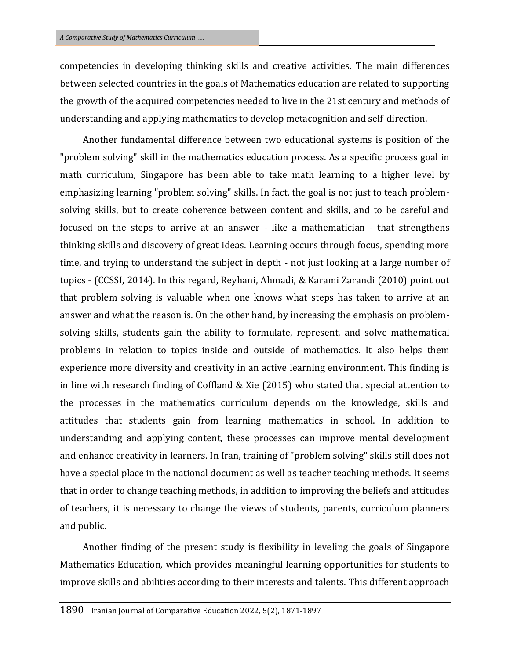competencies in developing thinking skills and creative activities. The main differences between selected countries in the goals of Mathematics education are related to supporting the growth of the acquired competencies needed to live in the 21st century and methods of understanding and applying mathematics to develop metacognition and self-direction.

Another fundamental difference between two educational systems is position of the "problem solving" skill in the mathematics education process. As a specific process goal in math curriculum, Singapore has been able to take math learning to a higher level by emphasizing learning "problem solving" skills. In fact, the goal is not just to teach problemsolving skills, but to create coherence between content and skills, and to be careful and focused on the steps to arrive at an answer - like a mathematician - that strengthens thinking skills and discovery of great ideas. Learning occurs through focus, spending more time, and trying to understand the subject in depth - not just looking at a large number of topics - (CCSSI, 2014). In this regard, Reyhani, Ahmadi, & Karami Zarandi (2010) point out that problem solving is valuable when one knows what steps has taken to arrive at an answer and what the reason is. On the other hand, by increasing the emphasis on problemsolving skills, students gain the ability to formulate, represent, and solve mathematical problems in relation to topics inside and outside of mathematics. It also helps them experience more diversity and creativity in an active learning environment. This finding is in line with research finding of Coffland & Xie (2015) who stated that special attention to the processes in the mathematics curriculum depends on the knowledge, skills and attitudes that students gain from learning mathematics in school. In addition to understanding and applying content, these processes can improve mental development and enhance creativity in learners. In Iran, training of "problem solving" skills still does not have a special place in the national document as well as teacher teaching methods. It seems that in order to change teaching methods, in addition to improving the beliefs and attitudes of teachers, it is necessary to change the views of students, parents, curriculum planners and public.

Another finding of the present study is flexibility in leveling the goals of Singapore Mathematics Education, which provides meaningful learning opportunities for students to improve skills and abilities according to their interests and talents. This different approach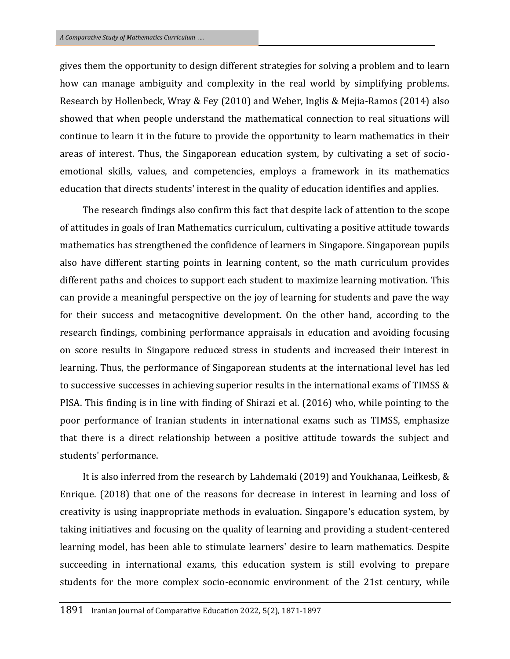gives them the opportunity to design different strategies for solving a problem and to learn how can manage ambiguity and complexity in the real world by simplifying problems. Research by Hollenbeck, Wray & Fey (2010) and Weber, Inglis & Mejia-Ramos (2014) also showed that when people understand the mathematical connection to real situations will continue to learn it in the future to provide the opportunity to learn mathematics in their areas of interest. Thus, the Singaporean education system, by cultivating a set of socioemotional skills, values, and competencies, employs a framework in its mathematics education that directs students' interest in the quality of education identifies and applies.

The research findings also confirm this fact that despite lack of attention to the scope of attitudes in goals of Iran Mathematics curriculum, cultivating a positive attitude towards mathematics has strengthened the confidence of learners in Singapore. Singaporean pupils also have different starting points in learning content, so the math curriculum provides different paths and choices to support each student to maximize learning motivation. This can provide a meaningful perspective on the joy of learning for students and pave the way for their success and metacognitive development. On the other hand, according to the research findings, combining performance appraisals in education and avoiding focusing on score results in Singapore reduced stress in students and increased their interest in learning. Thus, the performance of Singaporean students at the international level has led to successive successes in achieving superior results in the international exams of TIMSS & PISA. This finding is in line with finding of Shirazi et al. (2016) who, while pointing to the poor performance of Iranian students in international exams such as TIMSS, emphasize that there is a direct relationship between a positive attitude towards the subject and students' performance.

It is also inferred from the research by Lahdemaki (2019) and Youkhanaa, Leifkesb, & Enrique. (2018) that one of the reasons for decrease in interest in learning and loss of creativity is using inappropriate methods in evaluation. Singapore's education system, by taking initiatives and focusing on the quality of learning and providing a student-centered learning model, has been able to stimulate learners' desire to learn mathematics. Despite succeeding in international exams, this education system is still evolving to prepare students for the more complex socio-economic environment of the 21st century, while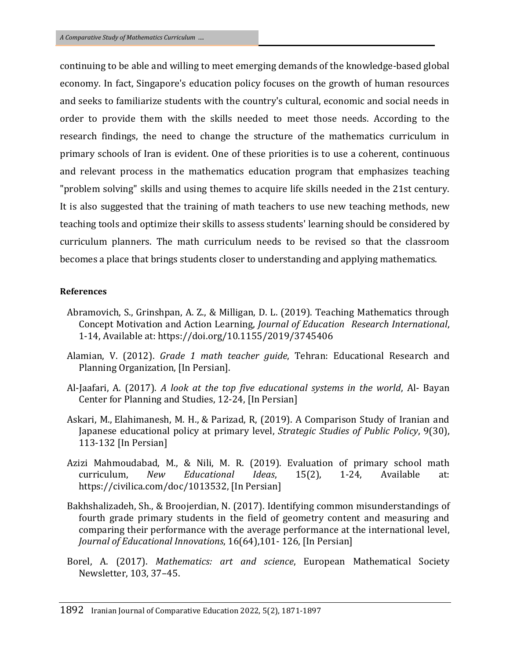continuing to be able and willing to meet emerging demands of the knowledge-based global economy. In fact, Singapore's education policy focuses on the growth of human resources and seeks to familiarize students with the country's cultural, economic and social needs in order to provide them with the skills needed to meet those needs. According to the research findings, the need to change the structure of the mathematics curriculum in primary schools of Iran is evident. One of these priorities is to use a coherent, continuous and relevant process in the mathematics education program that emphasizes teaching "problem solving" skills and using themes to acquire life skills needed in the 21st century. It is also suggested that the training of math teachers to use new teaching methods, new teaching tools and optimize their skills to assess students' learning should be considered by curriculum planners. The math curriculum needs to be revised so that the classroom becomes a place that brings students closer to understanding and applying mathematics.

#### **References**

- Abramovich, S., Grinshpan, A. Z., & Milligan, D. L. (2019). Teaching Mathematics through Concept Motivation and Action Learning, *Journal of Education Research International*, 1-14, Available at: https://doi.org/10.1155/2019/3745406
- Alamian, V. (2012). *Grade 1 math teacher guide*, Tehran: Educational Research and Planning Organization, [In Persian].
- Al-Jaafari, A. (2017). *A look at the top five educational systems in the world*, [Al-](https://www.bayancenter.org/fa/Al-) Bayan Center for Planning and Studies, 12-24, [In Persian]
- [Askari, M.](https://www.sid.ir/en/journal/SearchPaper.aspx?writer=208395), [Elahimanesh, M. H.,](https://www.sid.ir/en/journal/SearchPaper.aspx?writer=915016) [& Parizad, R,](https://www.sid.ir/en/journal/SearchPaper.aspx?writer=762698) (2019). A Comparison Study of Iranian and Japanese educational policy at primary level, *Strategic Studies of Public Policy*, 9(30), 113-132 [In Persian]
- Azizi Mahmoudabad, M., & Nili, M. R. (2019). Evaluation of primary school math curriculum, *New Educational Ideas*, 15(2), 1-24, Available at: https://civilica.com/doc/1013532, [In Persian]
- Bakhshalizadeh, Sh., & Broojerdian, N. (2017). Identifying common misunderstandings of fourth grade primary students in the field of geometry content and measuring and comparing their performance with the average performance at the international level, *Journal of Educational Innovations*, 16(64),101- 126, [In Persian]
- Borel, A. (2017). *Mathematics: art and science*, European Mathematical Society Newsletter, 103, 37–45.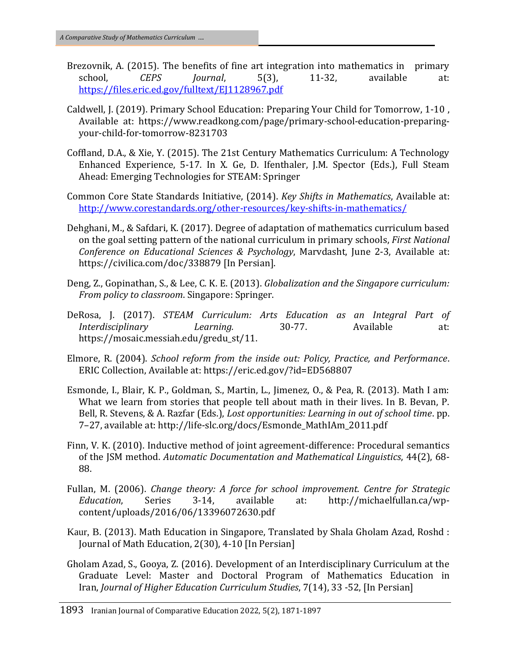- Brezovnik, A. (2015). The benefits of fine art integration into mathematics in primary school, *CEPS Journal*, 5(3), 11-32, available at: <https://files.eric.ed.gov/fulltext/EJ1128967.pdf>
- Caldwell, J. (2019). Primary School Education: Preparing Your Child for Tomorrow, 1-10 , Available at: https://www.readkong.com/page/primary-school-education-preparingyour-child-for-tomorrow-8231703
- Coffland, D.A., & Xie, Y. (2015). The 21st Century Mathematics Curriculum: A Technology Enhanced Experience, 5-17. In X. Ge, D. Ifenthaler, J.M. Spector (Eds.), Full Steam Ahead: Emerging Technologies for STEAM: Springer
- Common Core State Standards Initiative, (2014). *Key Shifts in Mathematics*, Available at: <http://www.corestandards.org/other-resources/key-shifts-in-mathematics/>
- Dehghani, M., & Safdari, K. (2017). Degree of adaptation of mathematics curriculum based on the goal setting pattern of the national curriculum in primary schools, *First National Conference on Educational Sciences & Psychology*, Marvdasht, June 2-3, Available at: <https://civilica.com/doc/338879> [In Persian].
- Deng, Z., Gopinathan, S., & Lee, C. K. E. (2013). *Globalization and the Singapore curriculum: From policy to classroom*. Singapore: Springer.
- DeRosa, J. (2017). *STEAM Curriculum: Arts Education as an Integral Part of Interdisciplinary Learning.* 30-77. Available at: https://mosaic.messiah.edu/gredu\_st/11.
- Elmore, R. (2004). *School reform from the inside out: Policy, Practice, and Performance*. ERIC Collection, Available at: https://eric.ed.gov/?id=ED568807
- Esmonde, I., Blair, K. P., Goldman, S., Martin, L., Jimenez, O., & Pea, R. (2013). Math I am: What we learn from stories that people tell about math in their lives. In B. Bevan, P. Bell, R. Stevens, & A. Razfar (Eds.), *Lost opportunities: Learning in out of school time*. pp. 7–27, available at: http://life-slc.org/docs/Esmonde\_MathIAm\_2011.pdf
- Finn, V. K. (2010). Inductive method of joint agreement-difference: Procedural semantics of the JSM method. *Automatic Documentation and Mathematical Linguistics*, 44(2), 68- 88.
- Fullan, M. (2006). *Change theory: A force for school improvement. Centre for Strategic Education*, Series 3-14, available at: http://michaelfullan.ca/wpcontent/uploads/2016/06/13396072630.pdf
- Kaur, B. (2013). Math Education in Singapore, Translated by Shala Gholam Azad, Roshd : Journal of Math Education, 2(30), 4-10 [In Persian]
- Gholam Azad, S., Gooya, Z. (2016). Development of an Interdisciplinary Curriculum at the Graduate Level: Master and Doctoral Program of Mathematics Education in Iran, *Journal of Higher Education Curriculum Studies*, 7(14), 33 -52, [In Persian]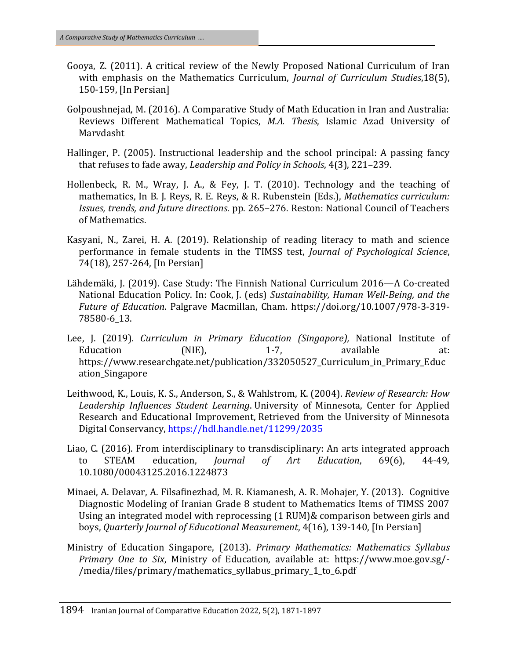- Gooya, Z. (2011). A critical review of the Newly Proposed National Curriculum of Iran with emphasis on the Mathematics Curriculum, *Journal of Curriculum Studies*,18(5), 150-159, [In Persian]
- Golpoushnejad, M. (2016). A Comparative Study of Math Education in Iran and Australia: Reviews Different Mathematical Topics, *M.A. Thesis*, Islamic Azad University of Marvdasht
- Hallinger, P. (2005). Instructional leadership and the school principal: A passing fancy that refuses to fade away, *Leadership and Policy in Schools*, 4(3), 221–239.
- Hollenbeck, R. M., Wray, J. A., & Fey, J. T. (2010). Technology and the teaching of mathematics, In B. J. Reys, R. E. Reys, & R. Rubenstein (Eds.), *Mathematics curriculum: Issues, trends, and future directions*. pp. 265–276. Reston: National Council of Teachers of Mathematics.
- Kasyani, N., Zarei, H. A. (2019). Relationship of reading literacy to math and science performance in female students in the TIMSS test, *Journal of Psychological Science*, 74(18), 257-264, [In Persian]
- Lähdemäki, J. (2019). Case Study: The Finnish National Curriculum 2016—A Co-created National Education Policy. In: Cook, J. (eds) *Sustainability, Human Well-Being, and the Future of Education*. Palgrave Macmillan, Cham. https://doi.org/10.1007/978-3-319- 78580-6\_13.
- Lee, J. (2019). *Curriculum in Primary Education (Singapore),* [National Institute of](https://www.researchgate.net/institution/National_Institute_of_Education_NIE_Singapore)  [Education \(NIE\), 1](https://www.researchgate.net/institution/National_Institute_of_Education_NIE_Singapore)-7, available at: https://www.researchgate.net/publication/332050527 Curriculum in Primary Educ ation\_Singapore
- Leithwood, K., Louis, K. S., Anderson, S., & Wahlstrom, K. (2004). *Review of Research: How Leadership Influences Student Learning*. University of Minnesota, Center for Applied Research and Educational Improvement, Retrieved from the University of Minnesota Digital Conservancy,<https://hdl.handle.net/11299/2035>
- Liao, C. (2016). From interdisciplinary to transdisciplinary: An arts integrated approach to STEAM education, *Journal of Art Education*, 69(6), 44-49, [10.1080/00043125.2016.1224873](https://doi.org/10.1080/00043125.2016.1224873)
- Minaei, A. Delavar, A. Filsafinezhad, M. R. Kiamanesh, A. R. Mohajer, Y. (2013). Cognitive Diagnostic Modeling of Iranian Grade 8 student to Mathematics Items of TIMSS 2007 Using an integrated model with reprocessing (1 RUM)& comparison between girls and boys, *Quarterly Journal of Educational Measurement*, 4(16), 139-140, [In Persian]
- Ministry of Education Singapore, (2013). *Primary Mathematics: Mathematics Syllabus Primary One to Six*, Ministry of Education, available at: https://www.moe.gov.sg/- /media/files/primary/mathematics\_syllabus\_primary\_1\_to\_6.pdf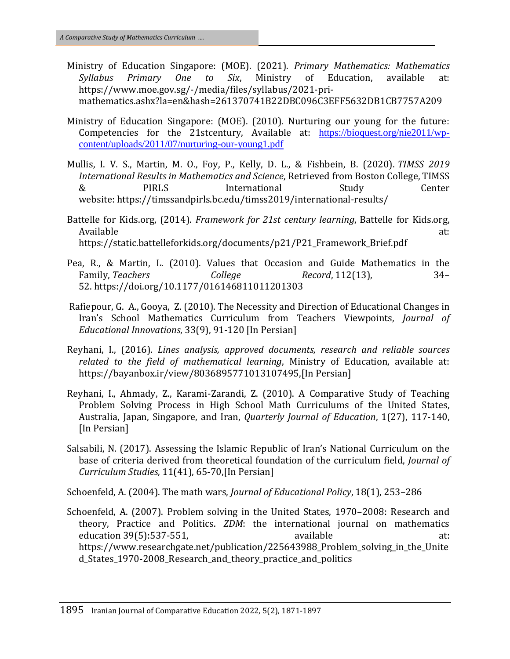- Ministry of Education Singapore: (MOE). (2021). *Primary Mathematics: Mathematics Syllabus Primary One to Six*, Ministry of Education, available at: https://www.moe.gov.sg/-/media/files/syllabus/2021-primathematics.ashx?la=en&hash=261370741B22DBC096C3EFF5632DB1CB7757A209
- Ministry of Education Singapore: (MOE). (2010). Nurturing our young for the future: Competencies for the 21stcentury, Available at: [https://bioquest.org/nie2011/wp](https://bioquest.org/nie2011/wp-content/uploads/2011/07/nurturing-our-young1.pdf)[content/uploads/2011/07/nurturing-our-young1.pdf](https://bioquest.org/nie2011/wp-content/uploads/2011/07/nurturing-our-young1.pdf)
- Mullis, I. V. S., Martin, M. O., Foy, P., Kelly, D. L., & Fishbein, B. (2020). *TIMSS 2019 International Results in Mathematics and Science*, Retrieved from Boston College, TIMSS & PIRLS International Study Center website: [https://timssandpirls.bc.edu/timss2019/international-results/](https://timss2019.org/reports)
- Battelle for Kids.org, (2014). *Framework for 21st century learning*, Battelle for Kids.org, Available at: https://static.battelleforkids.org/documents/p21/P21\_Framework\_Brief.pdf
- Pea, R., & Martin, L. (2010). Values that Occasion and Guide Mathematics in the Family, *Teachers College Record*, 112(13), 34– 52. <https://doi.org/10.1177/016146811011201303>
- [Rafiepour, G. A.,](https://www.sid.ir/en/journal/SearchPaper.aspx?writer=377123) [Gooya, Z.](https://www.sid.ir/en/journal/SearchPaper.aspx?writer=377124) (2010). The Necessity and Direction of Educational Changes in Iran's School Mathematics Curriculum from Teachers Viewpoints, *Journal of Educational Innovations*, 33(9), 91-120 [In Persian]
- Reyhani, I., (2016). *Lines analysis, approved documents, research and reliable sources related to the field of mathematical learning*, Ministry of Education, available at: https://bayanbox.ir/view/8036895771013107495,[In Persian]
- Reyhani, I., Ahmady, Z., Karami-Zarandi, Z. (2010). A Comparative Study of Teaching Problem Solving Process in High School Math Curriculums of the United States, Australia, Japan, Singapore, and Iran, *Quarterly Journal of Education*, 1(27), 117-140, [In Persian]
- Salsabili, N. (2017). Assessing the Islamic Republic of Iran's National Curriculum on the base of criteria derived from theoretical foundation of the curriculum field, *Journal of Curriculum Studies,* 11(41), 65-70,[In Persian]

Schoenfeld, A. (2004). The math wars, *Journal of Educational Policy*, 18(1), 253–286

Schoenfeld, A. (2007). Problem solving in the United States, 1970–2008: Research and theory, Practice and Politics. *ZDM*[: the international journal on mathematics](https://www.researchgate.net/journal/ZDM-the-international-journal-on-mathematics-education-1863-9704)  [education](https://www.researchgate.net/journal/ZDM-the-international-journal-on-mathematics-education-1863-9704) 39(5):537-551, education 39(5):537-551, https://www.researchgate.net/publication/225643988 Problem solving in the Unite d States 1970-2008 Research and theory practice and politics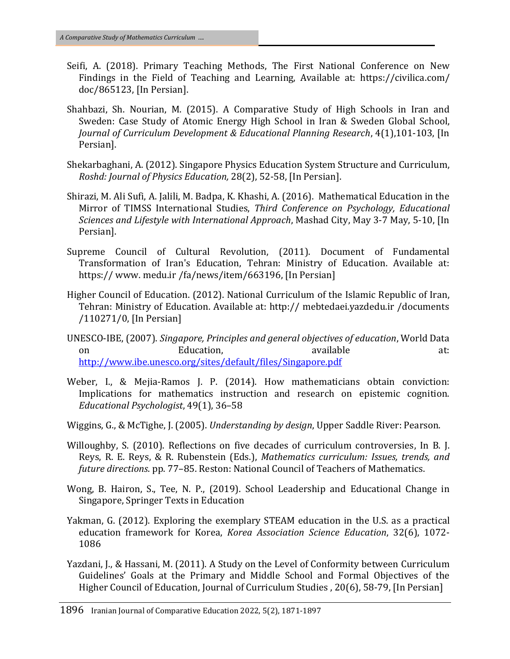- Seifi, A. (2018). Primary Teaching Methods, The First National Conference on New Findings in the Field of Teaching and Learning, Available at: https://civilica.com/ doc/865123, [In Persian].
- Shahbazi, Sh. Nourian, M. (2015). A Comparative Study of High Schools in Iran and Sweden: Case Study of Atomic Energy High School in Iran & Sweden Global School, *Journal of Curriculum Development & Educational Planning Research*, 4(1),101-103, [In Persian].
- Shekarbaghani, A. (2012). Singapore Physics Education System Structure and Curriculum, *Roshd: Journal of Physics Education,* 28(2), 52-58, [In Persian].
- Shirazi, M. Ali Sufi, A. Jalili, M. Badpa, K. Khashi, A. (2016). Mathematical Education in the Mirror of TIMSS International Studies, *Third Conference on Psychology, Educational Sciences and Lifestyle with International Approach*, Mashad City, May 3-7 May, 5-10, [In Persian].
- Supreme Council of Cultural Revolution, (2011). Document of Fundamental Transformation of Iran's Education, Tehran: Ministry of Education. Available at: https:// www. medu.ir /fa/news/item/663196, [In Persian]
- Higher Council of Education. (2012). National Curriculum of the Islamic Republic of Iran, Tehran: Ministry of Education. Available at: http:// mebtedaei.yazdedu.ir /documents /110271/0, [In Persian]
- UNESCO-IBE, (2007). *Singapore, Principles and general objectives of education*, World Data on Bducation, available at: <http://www.ibe.unesco.org/sites/default/files/Singapore.pdf>
- Weber, I., & Mejia-Ramos J. P. (2014). How mathematicians obtain conviction: Implications for mathematics instruction and research on epistemic cognition. *Educational Psychologist*, 49(1), 36–58
- Wiggins, G., & McTighe, J. (2005). *Understanding by design*, Upper Saddle River: Pearson.
- Willoughby, S. (2010). Reflections on five decades of curriculum controversies, In B. J. Reys, R. E. Reys, & R. Rubenstein (Eds.), *Mathematics curriculum: Issues, trends, and future directions*. pp. 77–85. Reston: National Council of Teachers of Mathematics.
- Wong, B. Hairon, S., Tee, N. P., (2019). School Leadership and Educational Change in Singapore, Springer Texts in Education
- Yakman, G. (2012). Exploring the exemplary STEAM education in the U.S. as a practical education framework for Korea, *Korea Association Science Education*, 32(6), 1072- 1086
- Yazdani, J., & Hassani, M. (2011). A Study on the Level of Conformity between Curriculum Guidelines' Goals at the Primary and Middle School and Formal Objectives of the Higher Council of Education, Journal of Curriculum Studies , 20(6), 58-79, [In Persian]